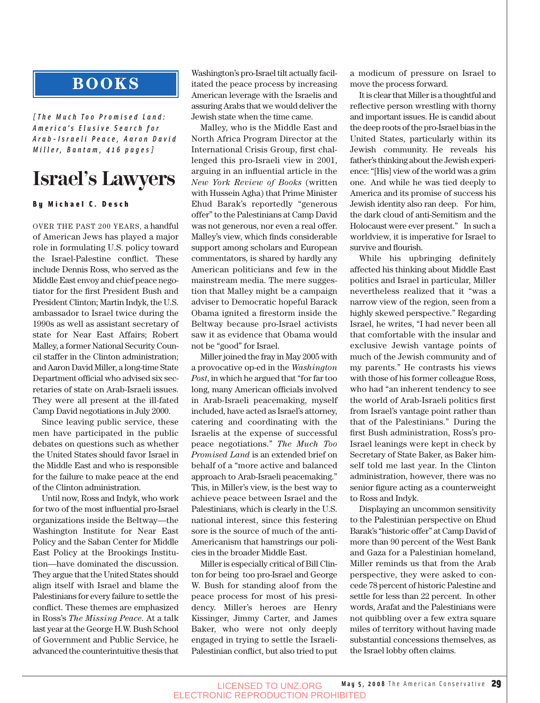## **BOOKS**

*[The Much Too Promised Land: America's Elusive Search for Arab-Israeli Peace, Aaron David Miller, Bantam, 416 pages]*

# **Israel's Lawyers**

### By Michael C. Desch

OVER THE PAST 200 YEARS, a handful of American Jews has played a major role in formulating U.S. policy toward the Israel-Palestine conflict. These include Dennis Ross, who served as the Middle East envoy and chief peace negotiator for the first President Bush and President Clinton; Martin Indyk, the U.S. ambassador to Israel twice during the 1990s as well as assistant secretary of state for Near East Affairs; Robert Malley, a former National Security Council staffer in the Clinton administration; and Aaron David Miller, a long-time State Department official who advised six secretaries of state on Arab-Israeli issues. They were all present at the ill-fated Camp David negotiations in July 2000.

Since leaving public service, these men have participated in the public debates on questions such as whether the United States should favor Israel in the Middle East and who is responsible for the failure to make peace at the end of the Clinton administration.

Until now, Ross and Indyk, who work for two of the most influential pro-Israel organizations inside the Beltway—the Washington Institute for Near East Policy and the Saban Center for Middle East Policy at the Brookings Institution—have dominated the discussion. They argue that the United States should align itself with Israel and blame the Palestinians for every failure to settle the conflict. These themes are emphasized in Ross's *The Missing Peace*. At a talk last year at the George H.W. Bush School of Government and Public Service, he advanced the counterintuitive thesis that Washington's pro-Israel tilt actually facilitated the peace process by increasing American leverage with the Israelis and assuring Arabs that we would deliver the Jewish state when the time came.

Malley, who is the Middle East and North Africa Program Director at the International Crisis Group, first challenged this pro-Israeli view in 2001, arguing in an influential article in the *New York Review of Books* (written with Hussein Agha) that Prime Minister Ehud Barak's reportedly "generous offer" to the Palestinians at Camp David was not generous, nor even a real offer. Malley's view, which finds considerable support among scholars and European commentators, is shared by hardly any American politicians and few in the mainstream media. The mere suggestion that Malley might be a campaign adviser to Democratic hopeful Barack Obama ignited a firestorm inside the Beltway because pro-Israel activists saw it as evidence that Obama would not be "good" for Israel.

Miller joined the fray in May 2005 with a provocative op-ed in the *Washington Post*, in which he argued that "for far too long, many American officials involved in Arab-Israeli peacemaking, myself included, have acted as Israel's attorney, catering and coordinating with the Israelis at the expense of successful peace negotiations." *The Much Too Promised Land* is an extended brief on behalf of a "more active and balanced approach to Arab-Israeli peacemaking." This, in Miller's view, is the best way to achieve peace between Israel and the Palestinians, which is clearly in the U.S. national interest, since this festering sore is the source of much of the anti-Americanism that hamstrings our policies in the broader Middle East.

Miller is especially critical of Bill Clinton for being too pro-Israel and George W. Bush for standing aloof from the peace process for most of his presidency. Miller's heroes are Henry Kissinger, Jimmy Carter, and James Baker, who were not only deeply engaged in trying to settle the Israeli-Palestinian conflict, but also tried to put a modicum of pressure on Israel to move the process forward.

It is clear that Miller is a thoughtful and reflective person wrestling with thorny and important issues. He is candid about the deep roots of the pro-Israel bias in the United States, particularly within its Jewish community. He reveals his father's thinking about the Jewish experience: "[His] view of the world was a grim one. And while he was tied deeply to America and its promise of success his Jewish identity also ran deep. For him, the dark cloud of anti-Semitism and the Holocaust were ever present." In such a worldview, it is imperative for Israel to survive and flourish.

While his upbringing definitely affected his thinking about Middle East politics and Israel in particular, Miller nevertheless realized that it "was a narrow view of the region, seen from a highly skewed perspective." Regarding Israel, he writes, "I had never been all that comfortable with the insular and exclusive Jewish vantage points of much of the Jewish community and of my parents." He contrasts his views with those of his former colleague Ross, who had "an inherent tendency to see the world of Arab-Israeli politics first from Israel's vantage point rather than that of the Palestinians." During the first Bush administration, Ross's pro-Israel leanings were kept in check by Secretary of State Baker, as Baker himself told me last year. In the Clinton administration, however, there was no senior figure acting as a counterweight to Ross and Indyk.

Displaying an uncommon sensitivity to the Palestinian perspective on Ehud Barak's "historic offer" at Camp David of more than 90 percent of the West Bank and Gaza for a Palestinian homeland, Miller reminds us that from the Arab perspective, they were asked to concede 78 percent of historic Palestine and settle for less than 22 percent. In other words, Arafat and the Palestinians were not quibbling over a few extra square miles of territory without having made substantial concessions themselves, as the Israel lobby often claims.